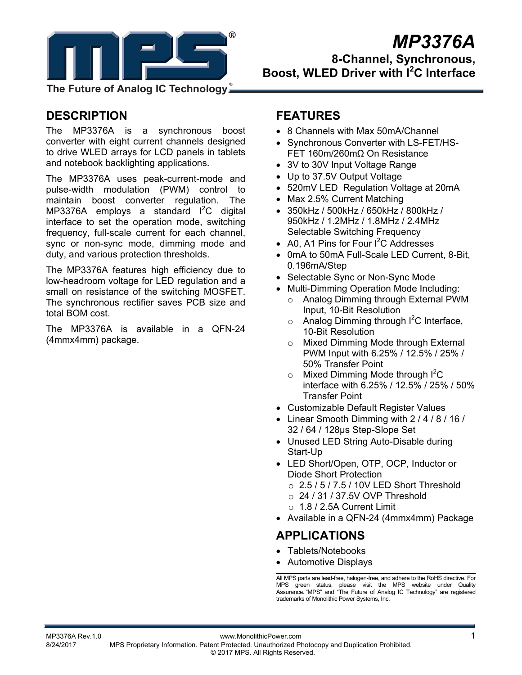

# *MP3376A*

**8-Channel, Synchronous, Boost, WLED Driver with I<sup>2</sup> C Interface** 

**The Future of Analog IC Technology**

# **DESCRIPTION**

The MP3376A is a synchronous boost converter with eight current channels designed to drive WLED arrays for LCD panels in tablets and notebook backlighting applications.

The MP3376A uses peak-current-mode and pulse-width modulation (PWM) control to maintain boost converter regulation. The MP3376A employs a standard  $I^2C$  digital interface to set the operation mode, switching frequency, full-scale current for each channel, sync or non-sync mode, dimming mode and duty, and various protection thresholds.

The MP3376A features high efficiency due to low-headroom voltage for LED regulation and a small on resistance of the switching MOSFET. The synchronous rectifier saves PCB size and total BOM cost.

The MP3376A is available in a QFN-24 (4mmx4mm) package.

# **FEATURES**

- 8 Channels with Max 50mA/Channel
- Synchronous Converter with LS-FET/HS-FET 160m/260mΩ On Resistance
- 3V to 30V Input Voltage Range
- Up to 37.5V Output Voltage
- 520mV LED Regulation Voltage at 20mA
- Max 2.5% Current Matching
- 350kHz / 500kHz / 650kHz / 800kHz / 950kHz / 1.2MHz / 1.8MHz / 2.4MHz Selectable Switching Frequency
- A0, A1 Pins for Four  $I^2C$  Addresses
- 0mA to 50mA Full-Scale LED Current, 8-Bit, 0.196mA/Step
- Selectable Sync or Non-Sync Mode
- Multi-Dimming Operation Mode Including:
	- o Analog Dimming through External PWM Input, 10-Bit Resolution
	- $\circ$  Analog Dimming through  $l^2C$  Interface, 10-Bit Resolution
	- o Mixed Dimming Mode through External PWM Input with 6.25% / 12.5% / 25% / 50% Transfer Point
	- $\circ$  Mixed Dimming Mode through  $l^2C$ interface with 6.25% / 12.5% / 25% / 50% Transfer Point
- Customizable Default Register Values
- Linear Smooth Dimming with  $2/4/8/16/$ 32 / 64 / 128µs Step-Slope Set
- Unused LED String Auto-Disable during Start-Up
- LED Short/Open, OTP, OCP, Inductor or Diode Short Protection
	- $\circ$  2.5 / 5 / 7.5 / 10V LED Short Threshold
	- o 24 / 31 / 37.5V OVP Threshold
	- $\circ$  1.8 / 2.5A Current Limit
- Available in a QFN-24 (4mmx4mm) Package

# **APPLICATIONS**

- Tablets/Notebooks
- Automotive Displays

All MPS parts are lead-free, halogen-free, and adhere to the RoHS directive. For MPS green status, please visit the MPS website under Quality Assurance. "MPS" and "The Future of Analog IC Technology" are registered trademarks of Monolithic Power Systems, Inc.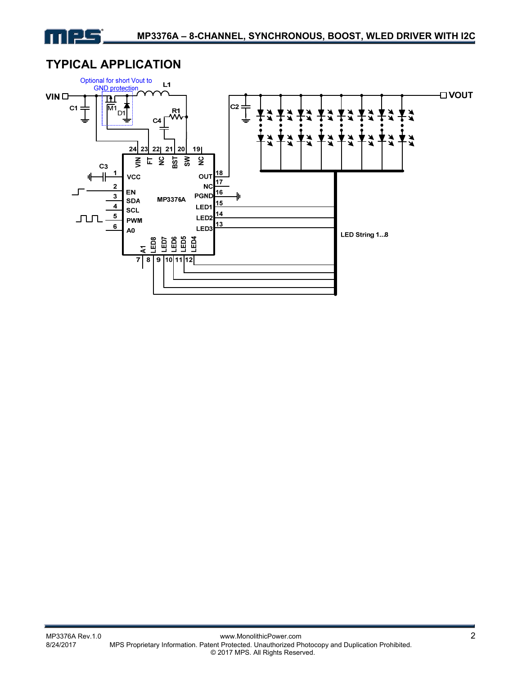

# **TYPICAL APPLICATION**

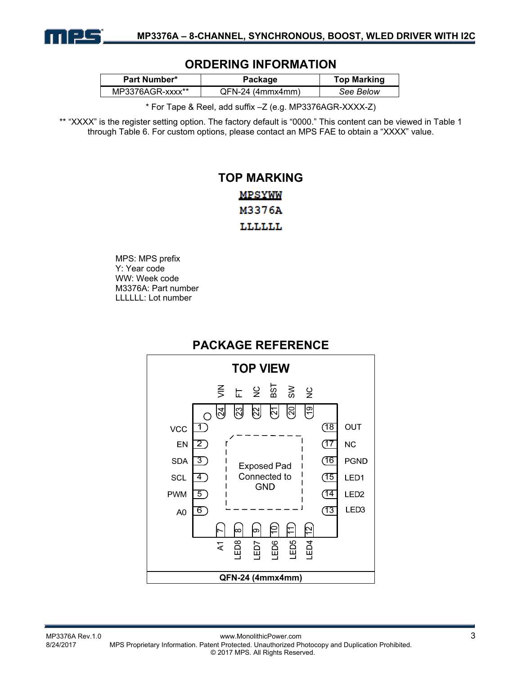

### **ORDERING INFORMATION**

| Part Number*     | Package            | <b>Top Marking</b> |  |
|------------------|--------------------|--------------------|--|
| MP3376AGR-xxxx** | $QFN-24$ (4mmx4mm) | See Below          |  |

\* For Tape & Reel, add suffix –Z (e.g. MP3376AGR-XXXX-Z)

\*\* "XXXX" is the register setting option. The factory default is "0000." This content can be viewed in Table 1 through Table 6. For custom options, please contact an MPS FAE to obtain a "XXXX" value.

# **TOP MARKING MPSYWW** M3376A LLLLLL

MPS: MPS prefix Y: Year code WW: Week code M3376A: Part number LLLLLL: Lot number

# **PACKAGE REFERENCE**

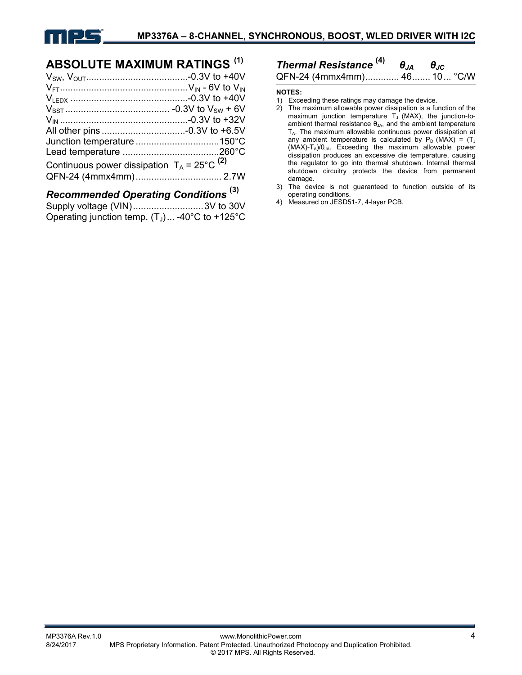

# **ABSOLUTE MAXIMUM RATINGS (1)**

| Continuous power dissipation $T_A = 25^{\circ}C^{(2)}$ |  |
|--------------------------------------------------------|--|
|                                                        |  |
|                                                        |  |

### *Recommended Operating Conditions* **(3)**

| Supply voltage (VIN)3V to 30V                    |  |
|--------------------------------------------------|--|
| Operating junction temp. $(T_J)$ -40°C to +125°C |  |

### *Thermal Resistance* **(4)** *θJA θJC* QFN-24 (4mmx4mm) ............. 46 ....... 10 ... °C/W

**NOTES:** 

- 
- 1) Exceeding these ratings may damage the device.<br>2) The maximum allowable power dissipation is a fu The maximum allowable power dissipation is a function of the maximum junction temperature  $T_J$  (MAX), the junction-toambient thermal resistance  $\theta_{JA}$ , and the ambient temperature T<sub>A</sub>. The maximum allowable continuous power dissipation at any ambient temperature is calculated by  $P_D$  (MAX) = (T<sub>J</sub>  $(MAX)-T_A)/\theta_{JA}$ . Exceeding the maximum allowable power dissipation produces an excessive die temperature, causing the regulator to go into thermal shutdown. Internal thermal shutdown circuitry protects the device from permanent damage.
- 3) The device is not guaranteed to function outside of its operating conditions.
- 4) Measured on JESD51-7, 4-layer PCB.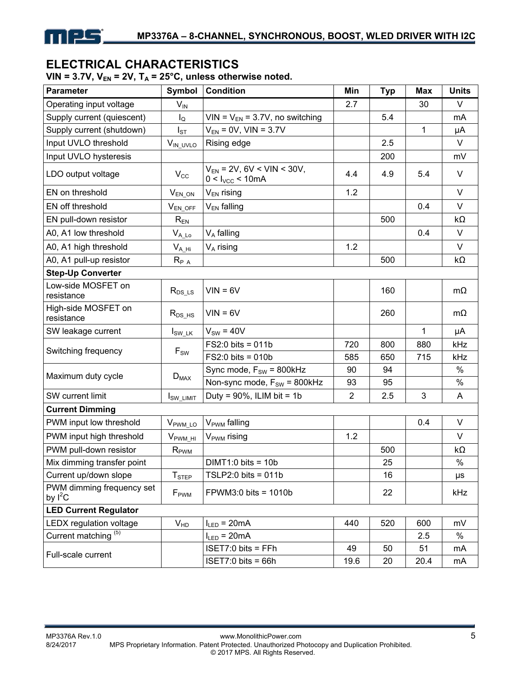

# **ELECTRICAL CHARACTERISTICS**

VIN =  $3.7V$ ,  $V_{EN}$  =  $2V$ ,  $T_A$  =  $25^{\circ}$ C, unless otherwise noted.

| <b>Parameter</b>                       | Symbol                | <b>Condition</b>                                       | Min            | <b>Typ</b> | <b>Max</b>   | <b>Units</b> |  |  |
|----------------------------------------|-----------------------|--------------------------------------------------------|----------------|------------|--------------|--------------|--|--|
| Operating input voltage                | $V_{IN}$              |                                                        | 2.7            |            | 30           | V            |  |  |
| Supply current (quiescent)             | $I_{\rm Q}$           | $VIN = V_{EN} = 3.7V$ , no switching                   |                | 5.4        |              | mA           |  |  |
| Supply current (shutdown)              | $I_{ST}$              | $V_{EN} = 0V$ , VIN = 3.7V                             |                |            | 1            | μA           |  |  |
| Input UVLO threshold                   | $V_{IN\_UVLO}$        | Rising edge                                            |                | 2.5        |              | $\vee$       |  |  |
| Input UVLO hysteresis                  |                       |                                                        |                | 200        |              | mV           |  |  |
| LDO output voltage                     | $V_{\rm CC}$          | $V_{EN}$ = 2V, 6V < VIN < 30V,<br>$0 < I_{VCC} < 10mA$ | 4.4            | 4.9        | 5.4          | $\vee$       |  |  |
| EN on threshold                        | $V_{EN\_ON}$          | $V_{EN}$ rising                                        | 1.2            |            |              | V            |  |  |
| EN off threshold                       | $V_{EN\_OFF}$         | V <sub>EN</sub> falling                                |                |            | 0.4          | V            |  |  |
| EN pull-down resistor                  | $R_{EN}$              |                                                        |                | 500        |              | $k\Omega$    |  |  |
| A0, A1 low threshold                   | $V_{A\_Lo}$           | $V_A$ falling                                          |                |            | 0.4          | V            |  |  |
| A0, A1 high threshold                  | $V_{A_H}$             | $V_A$ rising                                           | 1.2            |            |              | $\vee$       |  |  |
| A0, A1 pull-up resistor                | $R_{P A}$             |                                                        |                | 500        |              | $k\Omega$    |  |  |
| <b>Step-Up Converter</b>               |                       |                                                        |                |            |              |              |  |  |
| Low-side MOSFET on<br>resistance       | $R_{DS\_{LS}}$        | $VIN = 6V$                                             |                | 160        |              | $m\Omega$    |  |  |
| High-side MOSFET on<br>resistance      | $R_{DS_HS}$           | $VIN = 6V$                                             |                | 260        |              | mΩ           |  |  |
| SW leakage current                     | $I_{SW_LK}$           | $V_{SW} = 40V$                                         |                |            | $\mathbf{1}$ | μA           |  |  |
|                                        |                       | $FS2:0$ bits = 011b                                    | 720            | 800        | 880          | kHz          |  |  |
| Switching frequency<br>$F_{SW}$        |                       | $FS2:0$ bits = 010b                                    | 585            | 650        | 715          | kHz          |  |  |
| Maximum duty cycle                     |                       | Sync mode, $F_{SW} = 800kHz$                           | 90             | 94         |              | $\%$         |  |  |
|                                        | $D_{MAX}$             | Non-sync mode, $F_{SW}$ = 800kHz                       | 93             | 95         |              | $\%$         |  |  |
| SW current limit                       | I <sub>SW_LIMIT</sub> | Duty = $90\%$ , ILIM bit = 1b                          | $\overline{2}$ | 2.5        | 3            | A            |  |  |
| <b>Current Dimming</b>                 |                       |                                                        |                |            |              |              |  |  |
| PWM input low threshold                | $V_{\text{PWM\_LO}}$  | V <sub>PWM</sub> falling                               |                |            | 0.4          | V            |  |  |
| PWM input high threshold               | $V_{\text{PWM_HI}}$   | V <sub>PWM</sub> rising                                | 1.2            |            |              | $\vee$       |  |  |
| PWM pull-down resistor                 | $R_{\text{PWM}}$      |                                                        |                | 500        |              | $k\Omega$    |  |  |
| Mix dimming transfer point             |                       | $DIMT1:0 bits = 10b$                                   |                | 25         |              | $\%$         |  |  |
| Current up/down slope                  | $T_{\text{STEP}}$     | TSLP2:0 bits = $011b$                                  |                | 16         |              | μs           |  |  |
| PWM dimming frequency set<br>by $I^2C$ | F <sub>PWM</sub>      | $FPWM3:0 bits = 1010b$                                 |                | 22         |              | kHz          |  |  |
| <b>LED Current Regulator</b>           |                       |                                                        |                |            |              |              |  |  |
| LEDX regulation voltage                | V <sub>HD</sub>       | $I_{LED} = 20mA$                                       | 440            | 520        | 600          | mV           |  |  |
| Current matching <sup>(5)</sup>        |                       | $I_{LED} = 20mA$                                       |                |            | 2.5          | $\%$         |  |  |
| Full-scale current                     |                       | ISET7:0 bits = FFh                                     | 49             | 50         | 51           | mA           |  |  |
|                                        |                       | $ISET7:0 bits = 66h$                                   | 19.6           | 20         | 20.4         | mA           |  |  |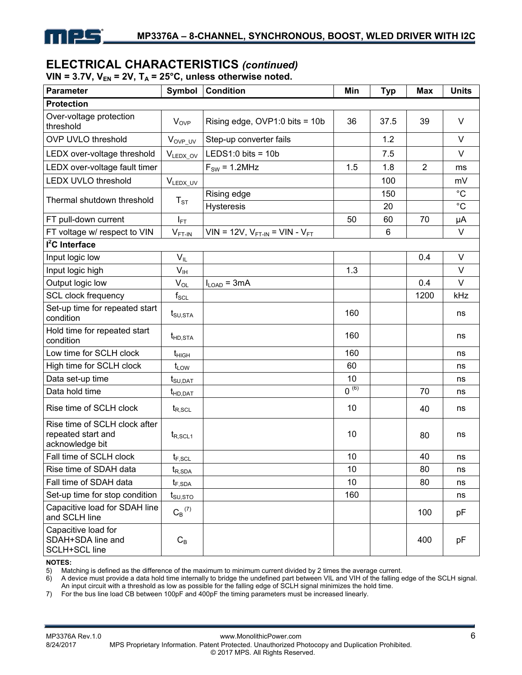

### **ELECTRICAL CHARACTERISTICS** *(continued)*

VIN = 3.7V,  $V_{EN}$  = 2V,  $T_A$  = 25°C, unless otherwise noted.

| <b>Parameter</b>                                                       | Symbol                          | <b>Condition</b>                | Min       | <b>Typ</b> | <b>Max</b>     | <b>Units</b> |
|------------------------------------------------------------------------|---------------------------------|---------------------------------|-----------|------------|----------------|--------------|
| <b>Protection</b>                                                      |                                 |                                 |           |            |                |              |
| Over-voltage protection<br>threshold                                   | $V_{OVP}$                       | Rising edge, OVP1:0 bits = 10b  | 36        | 37.5       | 39             | $\vee$       |
| <b>OVP UVLO threshold</b>                                              | V <sub>OVP_UV</sub>             | Step-up converter fails         |           | 1.2        |                | $\vee$       |
| LEDX over-voltage threshold                                            | VLEDX_OV                        | LEDS1:0 bits = $10b$            |           | 7.5        |                | $\vee$       |
| LEDX over-voltage fault timer                                          |                                 | $F_{SW} = 1.2 MHz$              | 1.5       | 1.8        | $\overline{2}$ | ms           |
| <b>LEDX UVLO threshold</b>                                             | VLEDX_UV                        |                                 |           | 100        |                | mV           |
| Thermal shutdown threshold                                             | $T_{ST}$                        | Rising edge                     |           | 150        |                | $^{\circ}C$  |
|                                                                        |                                 | <b>Hysteresis</b>               |           | 20         |                | $^{\circ}C$  |
| FT pull-down current                                                   | $I_{\mathsf{FT}}$               |                                 | 50        | 60         | 70             | μA           |
| FT voltage w/ respect to VIN                                           | $V_{FT-IN}$                     | $VIN = 12V, VFT-IN = VIN - VFT$ |           | 6          |                | V            |
| I <sup>2</sup> C Interface                                             |                                 |                                 |           |            |                |              |
| Input logic low                                                        | $V_{IL}$                        |                                 |           |            | 0.4            | V            |
| Input logic high                                                       | V <sub>IH</sub>                 |                                 | 1.3       |            |                | $\vee$       |
| Output logic low                                                       | $V_{OL}$                        | $I_{LOAD}$ = 3mA                |           |            | 0.4            | $\vee$       |
| <b>SCL clock frequency</b>                                             | $f_{\rm SCL}$                   |                                 |           |            | 1200           | kHz          |
| Set-up time for repeated start<br>condition                            | $t_{\text{SU,STA}}$             |                                 | 160       |            |                | ns           |
| Hold time for repeated start<br>condition                              | $t_{HD,STA}$                    |                                 | 160       |            |                | ns           |
| Low time for SCLH clock                                                | $t_{\text{HIGH}}$               |                                 | 160       |            |                | ns           |
| High time for SCLH clock                                               | $t_{LOW}$                       |                                 | 60        |            |                | ns           |
| Data set-up time                                                       | $t_{\text{SU,DAT}}$             |                                 | 10        |            |                | ns           |
| Data hold time                                                         | $t_{HD, DAT}$                   |                                 | $0^{(6)}$ |            | 70             | ns           |
| Rise time of SCLH clock                                                | $t_{R, SCL}$                    |                                 | 10        |            | 40             | ns           |
| Rise time of SCLH clock after<br>repeated start and<br>acknowledge bit | $t_{R, SCL1}$                   |                                 | 10        |            | 80             | ns           |
| Fall time of SCLH clock                                                | $t_{F,\mathrm{SCL}}$            |                                 | 10        |            | 40             | ns           |
| Rise time of SDAH data                                                 | $t_{R,SDA}$                     |                                 | 10        |            | 80             | ns           |
| Fall time of SDAH data                                                 | $t_{F,SDA}$                     |                                 | 10        |            | 80             | ns           |
| Set-up time for stop condition                                         | $t_{\scriptstyle\text{SU,STO}}$ |                                 | 160       |            |                | ns           |
| Capacitive load for SDAH line<br>and SCLH line                         | $C_B$ <sup>(7)</sup>            |                                 |           |            | 100            | рF           |
| Capacitive load for<br>SDAH+SDA line and<br><b>SCLH+SCL line</b>       | $C_B$                           |                                 |           |            | 400            | pF           |

#### **NOTES:**

5) Matching is defined as the difference of the maximum to minimum current divided by 2 times the average current.<br>6) A device must provide a data hold time internally to bridge the undefined part between VIL and VIH of th

6) A device must provide a data hold time internally to bridge the undefined part between VIL and VIH of the falling edge of the SCLH signal. An input circuit with a threshold as low as possible for the falling edge of SCLH signal minimizes the hold time.

7) For the bus line load CB between 100pF and 400pF the timing parameters must be increased linearly.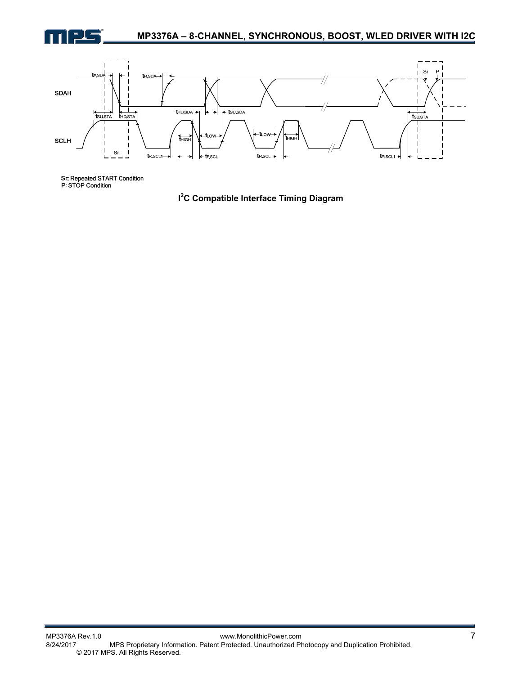



Sr. Repeated START Condition<br>P: STOP Condition

**I 2 C Compatible Interface Timing Diagram**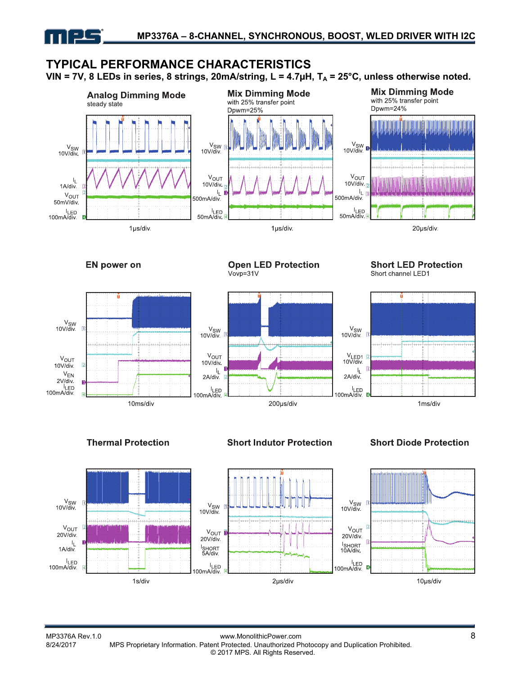# **TYPICAL PERFORMANCE CHARACTERISTICS**

VIN = 7V, 8 LEDs in series, 8 strings, 20mA/string, L = 4.7µH, T<sub>A</sub> = 25°C, unless otherwise noted.



#### **EN power on**

<u> = 1 = </u>





**Open LED Protection** 

#### **Short LED Protection** Short channel LED1



### **Thermal Protection**

**Short Indutor Protection** 

200µs/div

#### **Short Diode Protection**

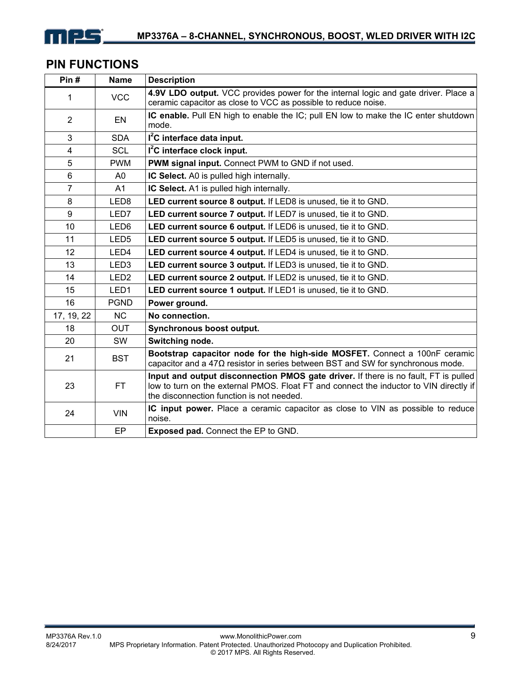

# **PIN FUNCTIONS**

| Pin#           | <b>Name</b>      | <b>Description</b>                                                                                                                                                                                                         |
|----------------|------------------|----------------------------------------------------------------------------------------------------------------------------------------------------------------------------------------------------------------------------|
| 1              | <b>VCC</b>       | 4.9V LDO output. VCC provides power for the internal logic and gate driver. Place a                                                                                                                                        |
|                |                  | ceramic capacitor as close to VCC as possible to reduce noise.                                                                                                                                                             |
| $\overline{2}$ | EN               | IC enable. Pull EN high to enable the IC; pull EN low to make the IC enter shutdown<br>mode.                                                                                                                               |
| 3              | <b>SDA</b>       | $I2C$ interface data input.                                                                                                                                                                                                |
| 4              | <b>SCL</b>       | $I2C$ interface clock input.                                                                                                                                                                                               |
| 5              | <b>PWM</b>       | PWM signal input. Connect PWM to GND if not used.                                                                                                                                                                          |
| 6              | A0               | IC Select. A0 is pulled high internally.                                                                                                                                                                                   |
| $\overline{7}$ | A <sub>1</sub>   | IC Select. A1 is pulled high internally.                                                                                                                                                                                   |
| 8              | LED <sub>8</sub> | LED current source 8 output. If LED8 is unused, tie it to GND.                                                                                                                                                             |
| 9              | LED7             | LED current source 7 output. If LED7 is unused, tie it to GND.                                                                                                                                                             |
| 10             | LED6             | LED current source 6 output. If LED6 is unused, tie it to GND.                                                                                                                                                             |
| 11             | LED <sub>5</sub> | LED current source 5 output. If LED5 is unused, tie it to GND.                                                                                                                                                             |
| 12             | LED4             | LED current source 4 output. If LED4 is unused, tie it to GND.                                                                                                                                                             |
| 13             | LED <sub>3</sub> | LED current source 3 output. If LED3 is unused, tie it to GND.                                                                                                                                                             |
| 14             | LED <sub>2</sub> | LED current source 2 output. If LED2 is unused, tie it to GND.                                                                                                                                                             |
| 15             | LED <sub>1</sub> | LED current source 1 output. If LED1 is unused, tie it to GND.                                                                                                                                                             |
| 16             | <b>PGND</b>      | Power ground.                                                                                                                                                                                                              |
| 17, 19, 22     | N <sub>C</sub>   | No connection.                                                                                                                                                                                                             |
| 18             | <b>OUT</b>       | Synchronous boost output.                                                                                                                                                                                                  |
| 20             | SW               | Switching node.                                                                                                                                                                                                            |
| 21             | <b>BST</b>       | Bootstrap capacitor node for the high-side MOSFET. Connect a 100nF ceramic<br>capacitor and a $47\Omega$ resistor in series between BST and SW for synchronous mode.                                                       |
| 23             | FT.              | Input and output disconnection PMOS gate driver. If there is no fault, FT is pulled<br>low to turn on the external PMOS. Float FT and connect the inductor to VIN directly if<br>the disconnection function is not needed. |
| 24             | <b>VIN</b>       | IC input power. Place a ceramic capacitor as close to VIN as possible to reduce<br>noise.                                                                                                                                  |
|                | EP               | <b>Exposed pad.</b> Connect the EP to GND.                                                                                                                                                                                 |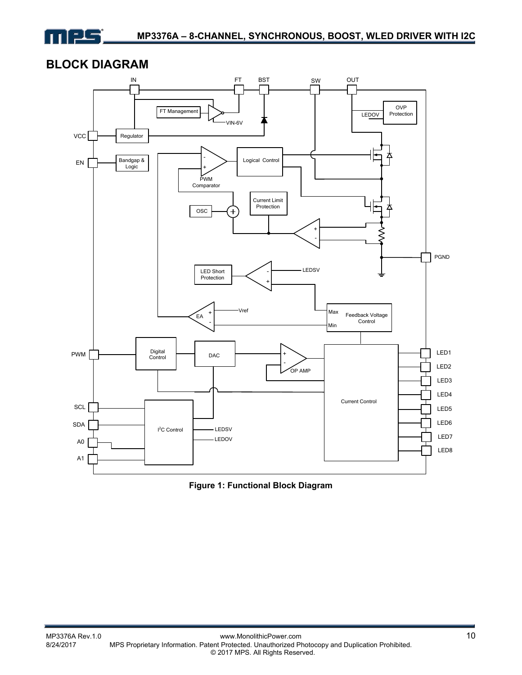

# **BLOCK DIAGRAM**



**Figure 1: Functional Block Diagram**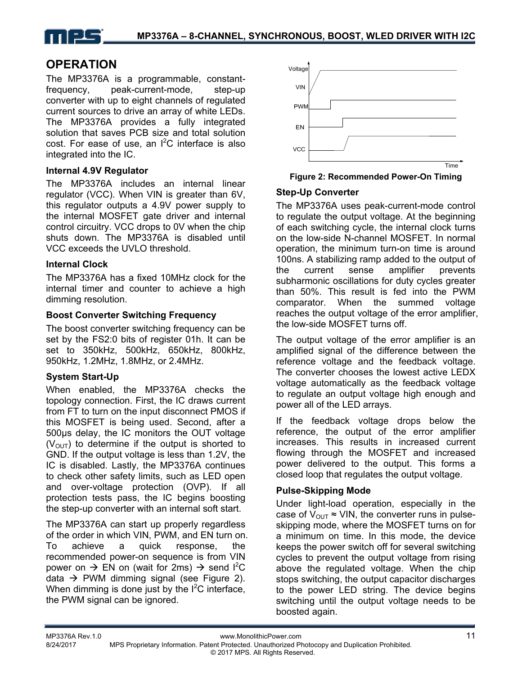

# **OPERATION**

The MP3376A is a programmable, constantfrequency, peak-current-mode, step-up converter with up to eight channels of regulated current sources to drive an array of white LEDs. The MP3376A provides a fully integrated solution that saves PCB size and total solution cost. For ease of use, an  $I^2C$  interface is also integrated into the IC.

#### **Internal 4.9V Regulator**

The MP3376A includes an internal linear regulator (VCC). When VIN is greater than 6V, this regulator outputs a 4.9V power supply to the internal MOSFET gate driver and internal control circuitry. VCC drops to 0V when the chip shuts down. The MP3376A is disabled until VCC exceeds the UVLO threshold.

#### **Internal Clock**

The MP3376A has a fixed 10MHz clock for the internal timer and counter to achieve a high dimming resolution.

#### **Boost Converter Switching Frequency**

The boost converter switching frequency can be set by the FS2:0 bits of register 01h. It can be set to 350kHz, 500kHz, 650kHz, 800kHz, 950kHz, 1.2MHz, 1.8MHz, or 2.4MHz.

### **System Start-Up**

When enabled, the MP3376A checks the topology connection. First, the IC draws current from FT to turn on the input disconnect PMOS if this MOSFET is being used. Second, after a 500µs delay, the IC monitors the OUT voltage  $(V<sub>OUT</sub>)$  to determine if the output is shorted to GND. If the output voltage is less than 1.2V, the IC is disabled. Lastly, the MP3376A continues to check other safety limits, such as LED open and over-voltage protection (OVP). If all protection tests pass, the IC begins boosting the step-up converter with an internal soft start.

The MP3376A can start up properly regardless of the order in which VIN, PWM, and EN turn on. To achieve a quick response, the recommended power-on sequence is from VIN power on  $\rightarrow$  EN on (wait for 2ms)  $\rightarrow$  send I<sup>2</sup>C data  $\rightarrow$  PWM dimming signal (see Figure 2). When dimming is done just by the  $I^2C$  interface, the PWM signal can be ignored.



**Figure 2: Recommended Power-On Timing** 

#### **Step-Up Converter**

The MP3376A uses peak-current-mode control to regulate the output voltage. At the beginning of each switching cycle, the internal clock turns on the low-side N-channel MOSFET. In normal operation, the minimum turn-on time is around 100ns. A stabilizing ramp added to the output of the current sense amplifier prevents subharmonic oscillations for duty cycles greater than 50%. This result is fed into the PWM comparator. When the summed voltage reaches the output voltage of the error amplifier, the low-side MOSFET turns off.

The output voltage of the error amplifier is an amplified signal of the difference between the reference voltage and the feedback voltage. The converter chooses the lowest active LEDX voltage automatically as the feedback voltage to regulate an output voltage high enough and power all of the LED arrays.

If the feedback voltage drops below the reference, the output of the error amplifier increases. This results in increased current flowing through the MOSFET and increased power delivered to the output. This forms a closed loop that regulates the output voltage.

### **Pulse-Skipping Mode**

Under light-load operation, especially in the case of  $V_{\text{OUT}} \approx VIN$ , the converter runs in pulseskipping mode, where the MOSFET turns on for a minimum on time. In this mode, the device keeps the power switch off for several switching cycles to prevent the output voltage from rising above the regulated voltage. When the chip stops switching, the output capacitor discharges to the power LED string. The device begins switching until the output voltage needs to be boosted again.

© 2017 MPS. All Rights Reserved.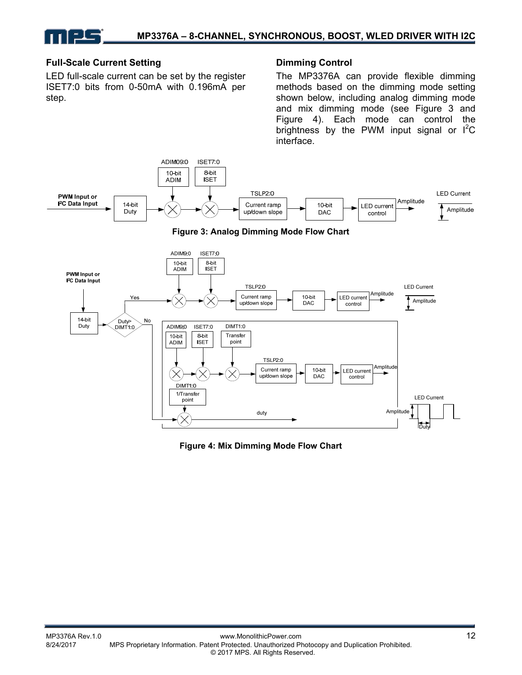#### **Full-Scale Current Setting**

LED full-scale current can be set by the register ISET7:0 bits from 0-50mA with 0.196mA per step.

#### **Dimming Control**

The MP3376A can provide flexible dimming methods based on the dimming mode setting shown below, including analog dimming mode and mix dimming mode (see Figure 3 and Figure 4). Each mode can control the brightness by the PWM input signal or  $I^2C$ interface.



**Figure 4: Mix Dimming Mode Flow Chart**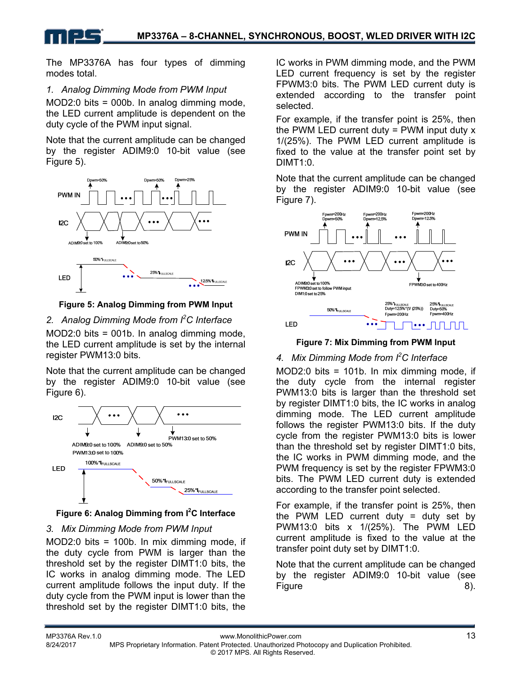The MP3376A has four types of dimming modes total.

### *1. Analog Dimming Mode from PWM Input*

MOD2:0 bits = 000b. In analog dimming mode, the LED current amplitude is dependent on the duty cycle of the PWM input signal.

Note that the current amplitude can be changed by the register ADIM9:0 10-bit value (see Figure 5).



### **Figure 5: Analog Dimming from PWM Input**

### *2. Analog Dimming Mode from I<sup>2</sup> C Interface*

MOD2:0 bits = 001b. In analog dimming mode, the LED current amplitude is set by the internal register PWM13:0 bits.

Note that the current amplitude can be changed by the register ADIM9:0 10-bit value (see Figure 6).





### *3. Mix Dimming Mode from PWM Input*

MOD2:0 bits = 100b. In mix dimming mode, if the duty cycle from PWM is larger than the threshold set by the register DIMT1:0 bits, the IC works in analog dimming mode. The LED current amplitude follows the input duty. If the duty cycle from the PWM input is lower than the threshold set by the register DIMT1:0 bits, the IC works in PWM dimming mode, and the PWM LED current frequency is set by the register FPWM3:0 bits. The PWM LED current duty is extended according to the transfer point selected.

For example, if the transfer point is 25%, then the PWM LED current duty  $=$  PWM input duty  $x$ 1/(25%). The PWM LED current amplitude is fixed to the value at the transfer point set by DIMT<sub>1:0</sub>

Note that the current amplitude can be changed by the register ADIM9:0 10-bit value (see Figure 7).



**Figure 7: Mix Dimming from PWM Input** 

### *4. Mix Dimming Mode from I2 C Interface*

MOD2:0 bits = 101b. In mix dimming mode, if the duty cycle from the internal register PWM13:0 bits is larger than the threshold set by register DIMT1:0 bits, the IC works in analog dimming mode. The LED current amplitude follows the register PWM13:0 bits. If the duty cycle from the register PWM13:0 bits is lower than the threshold set by register DIMT1:0 bits, the IC works in PWM dimming mode, and the PWM frequency is set by the register FPWM3:0 bits. The PWM LED current duty is extended according to the transfer point selected.

For example, if the transfer point is 25%, then the PWM LED current duty  $=$  duty set by PWM13:0 bits x 1/(25%). The PWM LED current amplitude is fixed to the value at the transfer point duty set by DIMT1:0.

Note that the current amplitude can be changed by the register ADIM9:0 10-bit value (see Figure 8).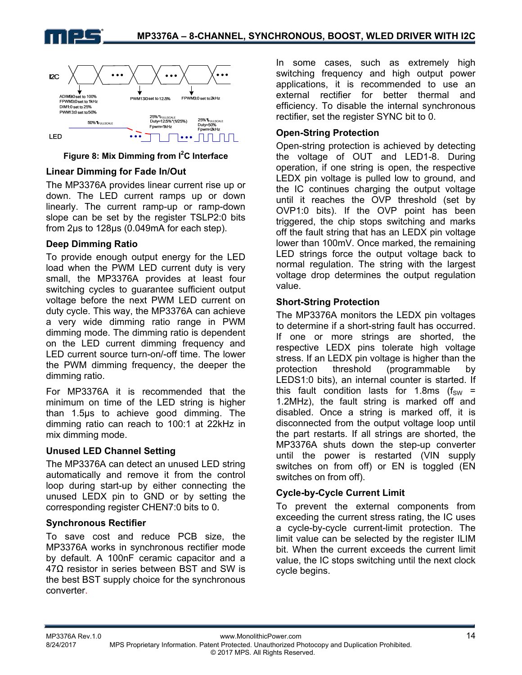





### **Linear Dimming for Fade In/Out**

The MP3376A provides linear current rise up or down. The LED current ramps up or down linearly. The current ramp-up or ramp-down slope can be set by the register TSLP2:0 bits from 2µs to 128µs (0.049mA for each step).

### **Deep Dimming Ratio**

To provide enough output energy for the LED load when the PWM LED current duty is very small, the MP3376A provides at least four switching cycles to guarantee sufficient output voltage before the next PWM LED current on duty cycle. This way, the MP3376A can achieve a very wide dimming ratio range in PWM dimming mode. The dimming ratio is dependent on the LED current dimming frequency and LED current source turn-on/-off time. The lower the PWM dimming frequency, the deeper the dimming ratio.

For MP3376A it is recommended that the minimum on time of the LED string is higher than 1.5µs to achieve good dimming. The dimming ratio can reach to 100:1 at 22kHz in mix dimming mode.

### **Unused LED Channel Setting**

The MP3376A can detect an unused LED string automatically and remove it from the control loop during start-up by either connecting the unused LEDX pin to GND or by setting the corresponding register CHEN7:0 bits to 0.

### **Synchronous Rectifier**

To save cost and reduce PCB size, the MP3376A works in synchronous rectifier mode by default. A 100nF ceramic capacitor and a  $47\Omega$  resistor in series between BST and SW is the best BST supply choice for the synchronous converter.

In some cases, such as extremely high switching frequency and high output power applications, it is recommended to use an external rectifier for better thermal and efficiency. To disable the internal synchronous rectifier, set the register SYNC bit to 0.

### **Open-String Protection**

Open-string protection is achieved by detecting the voltage of OUT and LED1-8. During operation, if one string is open, the respective LEDX pin voltage is pulled low to ground, and the IC continues charging the output voltage until it reaches the OVP threshold (set by OVP1:0 bits). If the OVP point has been triggered, the chip stops switching and marks off the fault string that has an LEDX pin voltage lower than 100mV. Once marked, the remaining LED strings force the output voltage back to normal regulation. The string with the largest voltage drop determines the output regulation value.

### **Short-String Protection**

The MP3376A monitors the LEDX pin voltages to determine if a short-string fault has occurred. If one or more strings are shorted, the respective LEDX pins tolerate high voltage stress. If an LEDX pin voltage is higher than the protection threshold (programmable by LEDS1:0 bits), an internal counter is started. If this fault condition lasts for 1.8ms ( $f_{SW}$  = 1.2MHz), the fault string is marked off and disabled. Once a string is marked off, it is disconnected from the output voltage loop until the part restarts. If all strings are shorted, the MP3376A shuts down the step-up converter until the power is restarted (VIN supply switches on from off) or EN is toggled (EN switches on from off).

### **Cycle-by-Cycle Current Limit**

To prevent the external components from exceeding the current stress rating, the IC uses a cycle-by-cycle current-limit protection. The limit value can be selected by the register ILIM bit. When the current exceeds the current limit value, the IC stops switching until the next clock cycle begins.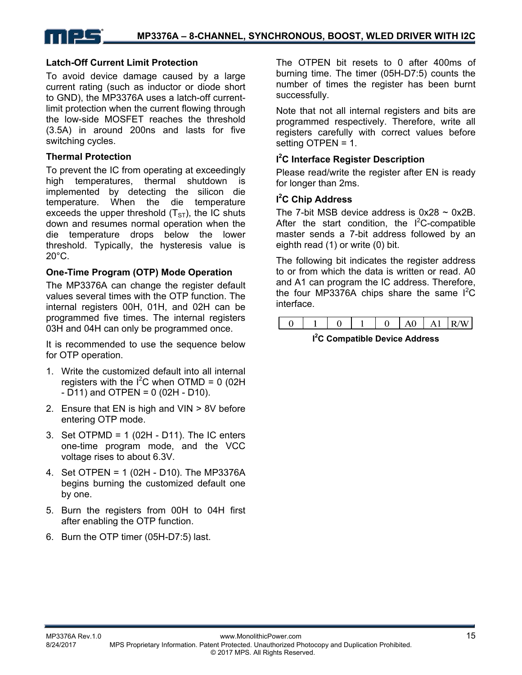#### **Latch-Off Current Limit Protection**

To avoid device damage caused by a large current rating (such as inductor or diode short to GND), the MP3376A uses a latch-off currentlimit protection when the current flowing through the low-side MOSFET reaches the threshold (3.5A) in around 200ns and lasts for five switching cycles.

#### **Thermal Protection**

To prevent the IC from operating at exceedingly high temperatures, thermal shutdown is implemented by detecting the silicon die temperature. When the die temperature exceeds the upper threshold  $(T<sub>ST</sub>)$ , the IC shuts down and resumes normal operation when the die temperature drops below the lower threshold. Typically, the hysteresis value is 20°C.

#### **One-Time Program (OTP) Mode Operation**

The MP3376A can change the register default values several times with the OTP function. The internal registers 00H, 01H, and 02H can be programmed five times. The internal registers 03H and 04H can only be programmed once.

It is recommended to use the sequence below for OTP operation.

- 1. Write the customized default into all internal registers with the  $I^2C$  when OTMD = 0 (02H  $- D11$ ) and OTPEN = 0 (02H  $- D10$ ).
- 2. Ensure that EN is high and VIN > 8V before entering OTP mode.
- 3. Set OTPMD = 1 (02H D11). The IC enters one-time program mode, and the VCC voltage rises to about 6.3V.
- 4. Set OTPEN = 1 (02H D10). The MP3376A begins burning the customized default one by one.
- 5. Burn the registers from 00H to 04H first after enabling the OTP function.
- 6. Burn the OTP timer (05H-D7:5) last.

The OTPEN bit resets to 0 after 400ms of burning time. The timer (05H-D7:5) counts the number of times the register has been burnt successfully.

Note that not all internal registers and bits are programmed respectively. Therefore, write all registers carefully with correct values before setting OTPEN = 1.

#### **I 2 C Interface Register Description**

Please read/write the register after EN is ready for longer than 2ms.

#### **I 2 C Chip Address**

The 7-bit MSB device address is  $0x28 \sim 0x2B$ . After the start condition, the  $I^2C$ -compatible master sends a 7-bit address followed by an eighth read (1) or write (0) bit.

The following bit indicates the register address to or from which the data is written or read. A0 and A1 can program the IC address. Therefore, the four MP3376A chips share the same  $I^2C$ interface.



**I 2 C Compatible Device Address**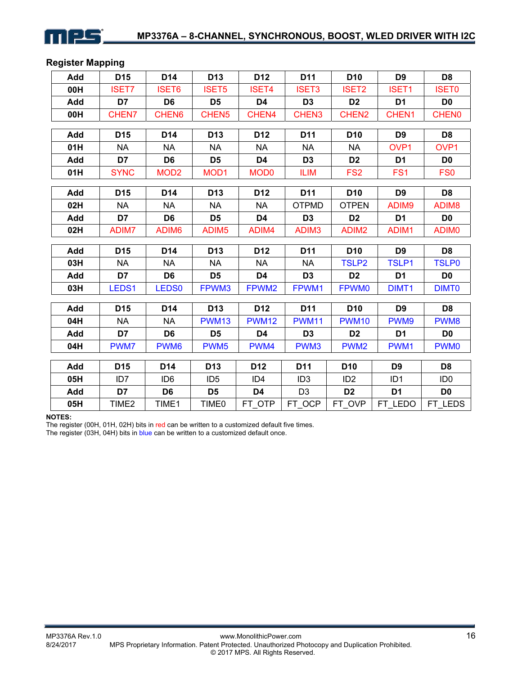

### **Register Mapping**

| Add | D <sub>15</sub>   | D14               | D <sub>13</sub>   | D <sub>12</sub>   | D11               | D <sub>10</sub>   | D <sub>9</sub>    | D <sub>8</sub>    |
|-----|-------------------|-------------------|-------------------|-------------------|-------------------|-------------------|-------------------|-------------------|
| 00H | <b>ISET7</b>      | <b>ISET6</b>      | <b>ISET5</b>      | <b>ISET4</b>      | <b>ISET3</b>      | <b>ISET2</b>      | <b>ISET1</b>      | <b>ISET0</b>      |
| Add | D7                | D <sub>6</sub>    | D <sub>5</sub>    | D <sub>4</sub>    | D <sub>3</sub>    | D <sub>2</sub>    | D <sub>1</sub>    | D <sub>0</sub>    |
| 00H | CHEN7             | CHEN6             | CHEN <sub>5</sub> | CHEN4             | CHEN3             | CHEN <sub>2</sub> | CHEN1             | <b>CHEN0</b>      |
| Add | D <sub>15</sub>   | D14               | D <sub>13</sub>   | D <sub>12</sub>   | D11               | D <sub>10</sub>   | D <sub>9</sub>    | D <sub>8</sub>    |
| 01H | <b>NA</b>         | <b>NA</b>         | <b>NA</b>         | <b>NA</b>         | <b>NA</b>         | <b>NA</b>         | OVP1              | OVP1              |
| Add | D7                | D <sub>6</sub>    | D <sub>5</sub>    | D <sub>4</sub>    | D <sub>3</sub>    | D <sub>2</sub>    | D <sub>1</sub>    | D <sub>0</sub>    |
| 01H | <b>SYNC</b>       | MOD <sub>2</sub>  | MOD <sub>1</sub>  | <b>MOD0</b>       | <b>ILIM</b>       | FS <sub>2</sub>   | FS <sub>1</sub>   | FS <sub>0</sub>   |
|     |                   |                   |                   |                   |                   |                   |                   |                   |
| Add | D <sub>15</sub>   | D14               | D <sub>13</sub>   | D <sub>12</sub>   | D11               | D <sub>10</sub>   | D <sub>9</sub>    | D <sub>8</sub>    |
| 02H | <b>NA</b>         | <b>NA</b>         | <b>NA</b>         | <b>NA</b>         | <b>OTPMD</b>      | <b>OTPEN</b>      | ADIM9             | ADIM8             |
| Add | D7                | D <sub>6</sub>    | D <sub>5</sub>    | D <sub>4</sub>    | D <sub>3</sub>    | D <sub>2</sub>    | D <sub>1</sub>    | D <sub>0</sub>    |
| 02H | ADIM7             | ADIM6             | ADIM <sub>5</sub> | ADIM4             | ADIM <sub>3</sub> | ADIM <sub>2</sub> | ADIM1             | ADIM <sub>0</sub> |
| Add | D <sub>15</sub>   | D14               | D <sub>13</sub>   | D <sub>12</sub>   | D <sub>11</sub>   | D <sub>10</sub>   | D <sub>9</sub>    | D <sub>8</sub>    |
| 03H | <b>NA</b>         | <b>NA</b>         | <b>NA</b>         | <b>NA</b>         | <b>NA</b>         | <b>TSLP2</b>      | <b>TSLP1</b>      | <b>TSLP0</b>      |
| Add | D7                | D <sub>6</sub>    | D <sub>5</sub>    | D <sub>4</sub>    | D <sub>3</sub>    | D <sub>2</sub>    | D <sub>1</sub>    | D <sub>0</sub>    |
| 03H | LEDS1             | LEDS <sub>0</sub> | FPWM3             | FPWM <sub>2</sub> | FPWM1             | <b>FPWM0</b>      | DIMT <sub>1</sub> | <b>DIMT0</b>      |
| Add | D <sub>15</sub>   | D14               | D <sub>13</sub>   | D <sub>12</sub>   | D11               | D <sub>10</sub>   | D <sub>9</sub>    | D <sub>8</sub>    |
| 04H | <b>NA</b>         | <b>NA</b>         | <b>PWM13</b>      | <b>PWM12</b>      | <b>PWM11</b>      | <b>PWM10</b>      | PWM9              | PWM8              |
| Add | D7                | D <sub>6</sub>    | D <sub>5</sub>    | D <sub>4</sub>    | D <sub>3</sub>    | D <sub>2</sub>    | D <sub>1</sub>    | D <sub>0</sub>    |
| 04H | PWM7              | PWM <sub>6</sub>  | PWM <sub>5</sub>  | PWM4              | PWM3              | PWM <sub>2</sub>  | PWM1              | PWM <sub>0</sub>  |
|     |                   |                   |                   |                   |                   |                   |                   |                   |
| Add | D <sub>15</sub>   | D <sub>14</sub>   | D <sub>13</sub>   | D <sub>12</sub>   | D <sub>11</sub>   | D <sub>10</sub>   | D <sub>9</sub>    | D <sub>8</sub>    |
| 05H | ID <sub>7</sub>   | ID <sub>6</sub>   | ID <sub>5</sub>   | ID <sub>4</sub>   | ID <sub>3</sub>   | ID <sub>2</sub>   | ID <sub>1</sub>   | ID <sub>0</sub>   |
| Add | D7                | D <sub>6</sub>    | D <sub>5</sub>    | D4                | D <sub>3</sub>    | D <sub>2</sub>    | D <sub>1</sub>    | D <sub>0</sub>    |
| 05H | TIME <sub>2</sub> | TIME1             | TIME0             | FT_OTP            | FT_OCP            | FT_OVP            | FT_LEDO           | FT_LEDS           |

#### **NOTES:**

The register (00H, 01H, 02H) bits in red can be written to a customized default five times.

The register (03H, 04H) bits in blue can be written to a customized default once.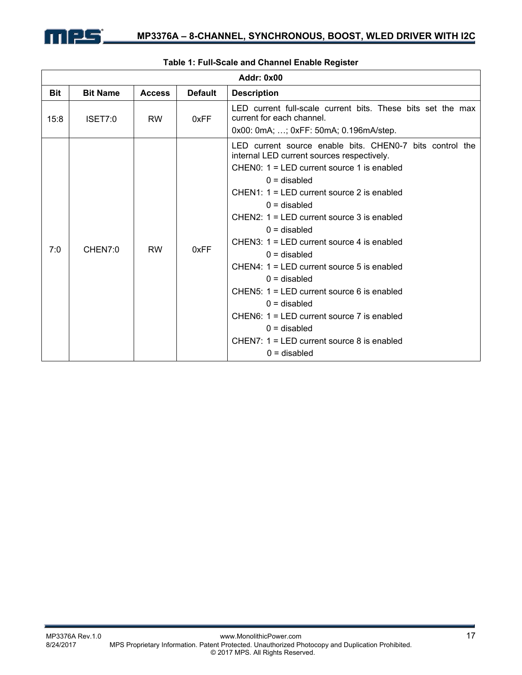

|            | <b>Addr: 0x00</b> |               |                |                                                                                                                                                                                                                                                                                                                                                                                                                                                                                                                                                                                                                                                        |  |  |  |  |
|------------|-------------------|---------------|----------------|--------------------------------------------------------------------------------------------------------------------------------------------------------------------------------------------------------------------------------------------------------------------------------------------------------------------------------------------------------------------------------------------------------------------------------------------------------------------------------------------------------------------------------------------------------------------------------------------------------------------------------------------------------|--|--|--|--|
| <b>Bit</b> | <b>Bit Name</b>   | <b>Access</b> | <b>Default</b> | <b>Description</b>                                                                                                                                                                                                                                                                                                                                                                                                                                                                                                                                                                                                                                     |  |  |  |  |
| 15:8       | ISET7:0           | <b>RW</b>     | 0xFF           | LED current full-scale current bits. These bits set the max<br>current for each channel.<br>0x00: 0mA; ; 0xFF: 50mA; 0.196mA/step.                                                                                                                                                                                                                                                                                                                                                                                                                                                                                                                     |  |  |  |  |
| 7:0        | CHEN7:0           | <b>RW</b>     | 0xFF           | LED current source enable bits. CHEN0-7 bits control the<br>internal LED current sources respectively.<br>$CHEN0: 1 = LED$ current source 1 is enabled<br>$0 =$ disabled<br>$CHEN1: 1 = LED$ current source 2 is enabled<br>$0 =$ disabled<br>$CHEN2: 1 = LED$ current source 3 is enabled<br>$0 =$ disabled<br>CHEN3: $1 = LED$ current source 4 is enabled<br>$0 =$ disabled<br>CHEN4: $1 = LED$ current source 5 is enabled<br>$0 =$ disabled<br>CHEN5: $1 = LED$ current source 6 is enabled<br>$0 =$ disabled<br>$CHEN6: 1 = LED$ current source 7 is enabled<br>$0 =$ disabled<br>CHEN7: $1 = LED$ current source 8 is enabled<br>$0 =$ disabled |  |  |  |  |

#### **Table 1: Full-Scale and Channel Enable Register**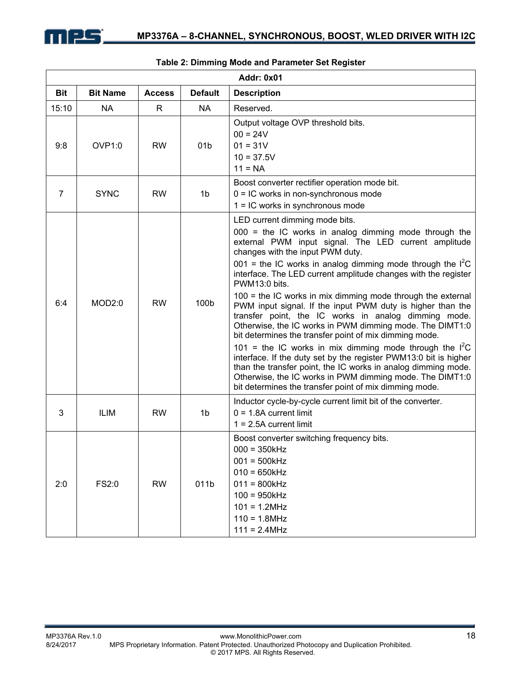

|                | <b>Addr: 0x01</b>  |               |                 |                                                                                                                                                                                                                                                                                                                                                                                                                                                                                                                                                                                                                                                                                                                                                                                                                                                                                                                                                                               |  |  |  |  |
|----------------|--------------------|---------------|-----------------|-------------------------------------------------------------------------------------------------------------------------------------------------------------------------------------------------------------------------------------------------------------------------------------------------------------------------------------------------------------------------------------------------------------------------------------------------------------------------------------------------------------------------------------------------------------------------------------------------------------------------------------------------------------------------------------------------------------------------------------------------------------------------------------------------------------------------------------------------------------------------------------------------------------------------------------------------------------------------------|--|--|--|--|
| <b>Bit</b>     | <b>Bit Name</b>    | <b>Access</b> | <b>Default</b>  | <b>Description</b>                                                                                                                                                                                                                                                                                                                                                                                                                                                                                                                                                                                                                                                                                                                                                                                                                                                                                                                                                            |  |  |  |  |
| 15:10          | <b>NA</b>          | R             | NA              | Reserved.                                                                                                                                                                                                                                                                                                                                                                                                                                                                                                                                                                                                                                                                                                                                                                                                                                                                                                                                                                     |  |  |  |  |
| 9:8            | OVP <sub>1:0</sub> | <b>RW</b>     | 01 <sub>b</sub> | Output voltage OVP threshold bits.<br>$00 = 24V$<br>$01 = 31V$<br>$10 = 37.5V$<br>$11 = NA$                                                                                                                                                                                                                                                                                                                                                                                                                                                                                                                                                                                                                                                                                                                                                                                                                                                                                   |  |  |  |  |
| $\overline{7}$ | <b>SYNC</b>        | <b>RW</b>     | 1 <sub>b</sub>  | Boost converter rectifier operation mode bit.<br>$0 = IC$ works in non-synchronous mode<br>$1 = IC$ works in synchronous mode                                                                                                                                                                                                                                                                                                                                                                                                                                                                                                                                                                                                                                                                                                                                                                                                                                                 |  |  |  |  |
| 6:4            | MOD2:0             | <b>RW</b>     | 100b            | LED current dimming mode bits.<br>$000 =$ the IC works in analog dimming mode through the<br>external PWM input signal. The LED current amplitude<br>changes with the input PWM duty.<br>001 = the IC works in analog dimming mode through the $I^2C$<br>interface. The LED current amplitude changes with the register<br>PWM13:0 bits.<br>$100$ = the IC works in mix dimming mode through the external<br>PWM input signal. If the input PWM duty is higher than the<br>transfer point, the IC works in analog dimming mode.<br>Otherwise, the IC works in PWM dimming mode. The DIMT1:0<br>bit determines the transfer point of mix dimming mode.<br>101 = the IC works in mix dimming mode through the $I^2C$<br>interface. If the duty set by the register PWM13:0 bit is higher<br>than the transfer point, the IC works in analog dimming mode.<br>Otherwise, the IC works in PWM dimming mode. The DIMT1:0<br>bit determines the transfer point of mix dimming mode. |  |  |  |  |
| 3              | <b>ILIM</b>        | <b>RW</b>     | 1b              | Inductor cycle-by-cycle current limit bit of the converter.<br>$0 = 1.8A$ current limit<br>$1 = 2.5A$ current limit                                                                                                                                                                                                                                                                                                                                                                                                                                                                                                                                                                                                                                                                                                                                                                                                                                                           |  |  |  |  |
| 2:0            | FS2:0              | <b>RW</b>     | 011b            | Boost converter switching frequency bits.<br>$000 = 350kHz$<br>$001 = 500kHz$<br>$010 = 650kHz$<br>$011 = 800kHz$<br>$100 = 950kHz$<br>$101 = 1.2 MHz$<br>$110 = 1.8 MHz$<br>$111 = 2.4 MHz$                                                                                                                                                                                                                                                                                                                                                                                                                                                                                                                                                                                                                                                                                                                                                                                  |  |  |  |  |

#### **Table 2: Dimming Mode and Parameter Set Register**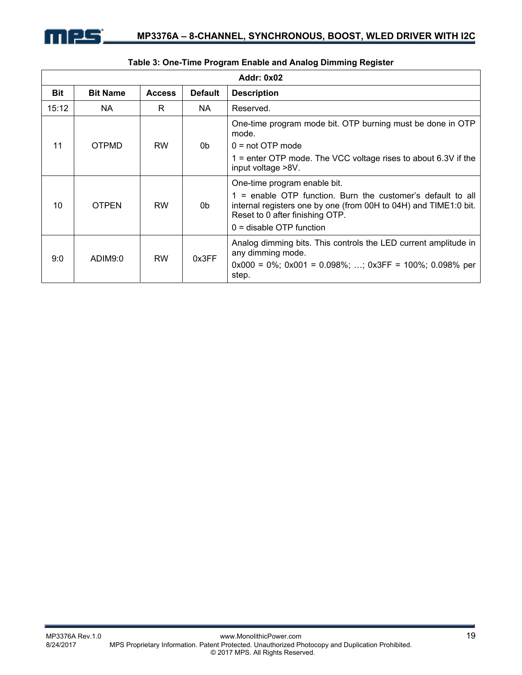

|            | <b>Addr: 0x02</b> |               |                |                                                                                                                                                                                                                                  |  |  |  |  |
|------------|-------------------|---------------|----------------|----------------------------------------------------------------------------------------------------------------------------------------------------------------------------------------------------------------------------------|--|--|--|--|
| <b>Bit</b> | <b>Bit Name</b>   | <b>Access</b> | <b>Default</b> | <b>Description</b>                                                                                                                                                                                                               |  |  |  |  |
| 15:12      | NA.               | R.            | NA.            | Reserved.                                                                                                                                                                                                                        |  |  |  |  |
|            |                   |               |                | One-time program mode bit. OTP burning must be done in OTP<br>mode.                                                                                                                                                              |  |  |  |  |
| 11         | <b>OTPMD</b>      | <b>RW</b>     | 0b.            | $0 = not$ OTP mode                                                                                                                                                                                                               |  |  |  |  |
|            |                   |               |                | 1 = enter OTP mode. The VCC voltage rises to about 6.3V if the<br>input voltage >8V.                                                                                                                                             |  |  |  |  |
| 10         | <b>OTPEN</b>      | <b>RW</b>     | 0b             | One-time program enable bit.<br>1 = enable OTP function. Burn the customer's default to all<br>internal registers one by one (from 00H to 04H) and TIME1:0 bit.<br>Reset to 0 after finishing OTP.<br>$0 =$ disable OTP function |  |  |  |  |
| 9:0        | ADIM9:0           | <b>RW</b>     | 0x3FF          | Analog dimming bits. This controls the LED current amplitude in<br>any dimming mode.<br>$0x000 = 0\%$ ; $0x001 = 0.098\%$ ; ; $0x3FF = 100\%$ ; 0.098% per<br>step.                                                              |  |  |  |  |

### **Table 3: One-Time Program Enable and Analog Dimming Register**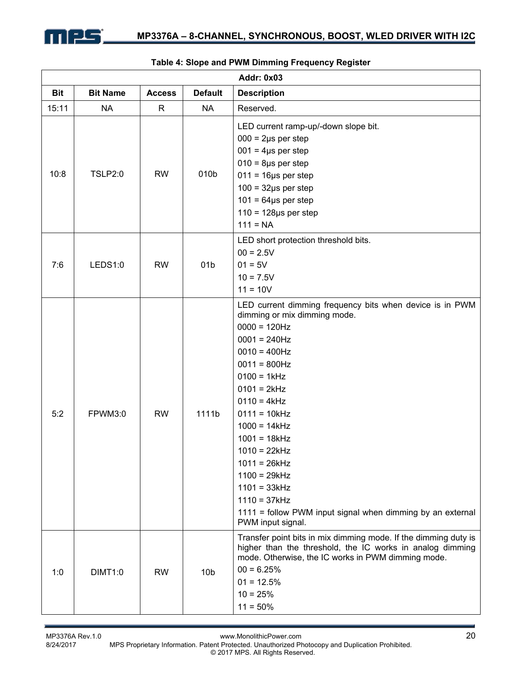

|            |                 |               |                 | <b>Addr: 0x03</b>                                                                                                                                                                                                                                                                                                                                                                                                                                         |
|------------|-----------------|---------------|-----------------|-----------------------------------------------------------------------------------------------------------------------------------------------------------------------------------------------------------------------------------------------------------------------------------------------------------------------------------------------------------------------------------------------------------------------------------------------------------|
| <b>Bit</b> | <b>Bit Name</b> | <b>Access</b> | <b>Default</b>  | <b>Description</b>                                                                                                                                                                                                                                                                                                                                                                                                                                        |
| 15:11      | <b>NA</b>       | R             | <b>NA</b>       | Reserved.                                                                                                                                                                                                                                                                                                                                                                                                                                                 |
| 10:8       | <b>TSLP2:0</b>  | <b>RW</b>     | 010b            | LED current ramp-up/-down slope bit.<br>$000 = 2\mu s$ per step<br>$001 = 4\mu s$ per step<br>$010 = 8\mu s$ per step<br>$011 = 16 \mu s$ per step<br>$100 = 32\mu s$ per step<br>$101 = 64\mu s$ per step<br>$110 = 128 \mu s$ per step<br>$111 = NA$                                                                                                                                                                                                    |
| 7:6        | LEDS1:0         | <b>RW</b>     | 01 <sub>b</sub> | LED short protection threshold bits.<br>$00 = 2.5V$<br>$01 = 5V$<br>$10 = 7.5V$<br>$11 = 10V$                                                                                                                                                                                                                                                                                                                                                             |
| 5:2        | FPWM3:0         | <b>RW</b>     | 1111b           | LED current dimming frequency bits when device is in PWM<br>dimming or mix dimming mode.<br>$0000 = 120$ Hz<br>$0001 = 240Hz$<br>$0010 = 400$ Hz<br>$0011 = 800$ Hz<br>$0100 = 1kHz$<br>$0101 = 2kHz$<br>$0110 = 4kHz$<br>$0111 = 10kHz$<br>$1000 = 14kHz$<br>$1001 = 18kHz$<br>$1010 = 22kHz$<br>$1011 = 26kHz$<br>$1100 = 29kHz$<br>$1101 = 33kHz$<br>$1110 = 37kHz$<br>1111 = follow PWM input signal when dimming by an external<br>PWM input signal. |
| 1:0        | <b>DIMT1:0</b>  | <b>RW</b>     | 10 <sub>b</sub> | Transfer point bits in mix dimming mode. If the dimming duty is<br>higher than the threshold, the IC works in analog dimming<br>mode. Otherwise, the IC works in PWM dimming mode.<br>$00 = 6.25%$<br>$01 = 12.5%$<br>$10 = 25%$<br>$11 = 50\%$                                                                                                                                                                                                           |

#### **Table 4: Slope and PWM Dimming Frequency Register**

MP3376A Rev.1.0 www.MonolithicPower.com<br>8/24/2017 MPS Proprietary Information. Patent Protected. Unauthorized Photocopy and Duplication Prohibited. MPS Proprietary Information. Patent Protected. Unauthorized Photocopy and Duplication Prohibited. © 2017 MPS. All Rights Reserved.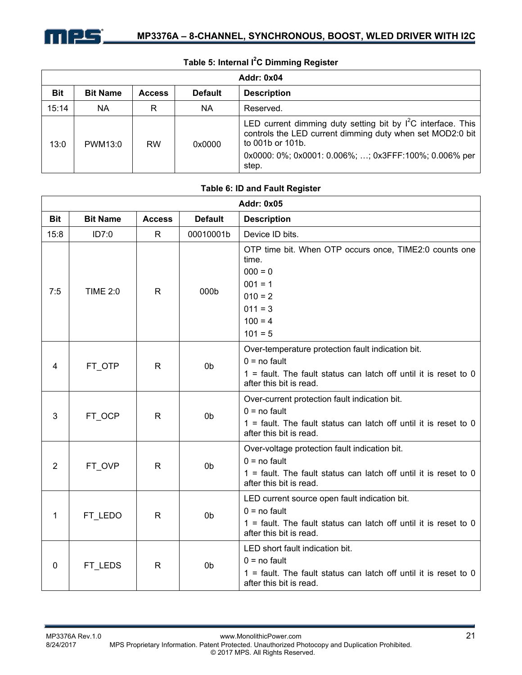

|            | Table 5: Internal I <sup>2</sup> C Dimming Register |               |                |                                                                                                                                                                                                                   |  |  |  |
|------------|-----------------------------------------------------|---------------|----------------|-------------------------------------------------------------------------------------------------------------------------------------------------------------------------------------------------------------------|--|--|--|
|            | <b>Addr: 0x04</b>                                   |               |                |                                                                                                                                                                                                                   |  |  |  |
| <b>Bit</b> | <b>Bit Name</b>                                     | <b>Access</b> | <b>Default</b> | <b>Description</b>                                                                                                                                                                                                |  |  |  |
| 15:14      | <b>NA</b>                                           | R             | NA.            | Reserved.                                                                                                                                                                                                         |  |  |  |
| 13:0       | PWM13:0                                             | <b>RW</b>     | 0x0000         | LED current dimming duty setting bit by $I^2C$ interface. This<br>controls the LED current dimming duty when set MOD2:0 bit<br>to 001b or 101b.<br>0x0000: 0%; 0x0001: 0.006%; ; 0x3FFF:100%; 0.006% per<br>step. |  |  |  |

#### **Addr: 0x05 Bit | Bit Name | Access | Default | Description** 15:8 **ID7:0** R 00010001b Device ID bits. 7:5 | TIME 2:0 | R | 000b OTP time bit. When OTP occurs once, TIME2:0 counts one time.  $000 = 0$  $001 = 1$  $010 = 2$  $011 = 3$  $100 = 4$  $101 = 5$ 4 | FT\_OTP | R | 0b Over-temperature protection fault indication bit.  $0 =$  no fault 1 = fault. The fault status can latch off until it is reset to 0 after this bit is read. 3 | FT\_OCP | R | 0b Over-current protection fault indication bit.  $0 =$  no fault  $1 =$  fault. The fault status can latch off until it is reset to 0 after this bit is read. 2 | FT OVP | R | 0b Over-voltage protection fault indication bit.  $0 =$  no fault  $1$  = fault. The fault status can latch off until it is reset to 0 after this bit is read. 1 | FT\_LEDO | R | 0b LED current source open fault indication bit.  $0 =$  no fault  $1$  = fault. The fault status can latch off until it is reset to 0 after this bit is read.  $0$  FT\_LEDS  $\mid$  R  $\mid$  0b LED short fault indication bit.  $0 =$  no fault 1 = fault. The fault status can latch off until it is reset to 0 after this bit is read.

#### **Table 6: ID and Fault Register**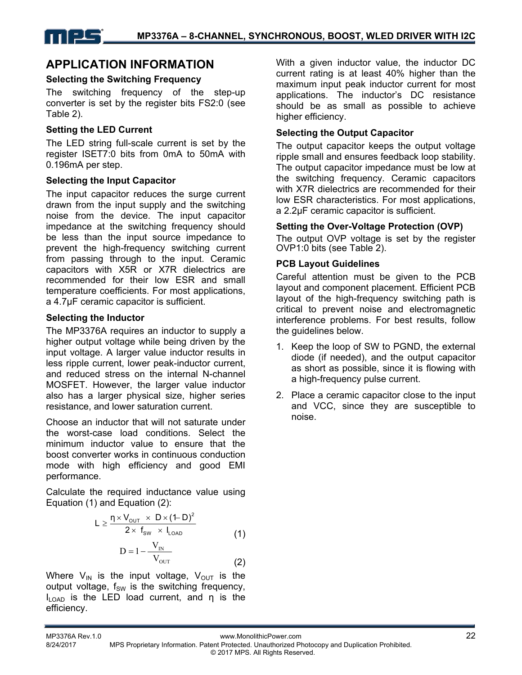# **APPLICATION INFORMATION**

### **Selecting the Switching Frequency**

The switching frequency of the step-up converter is set by the register bits FS2:0 (see Table 2).

### **Setting the LED Current**

The LED string full-scale current is set by the register ISET7:0 bits from 0mA to 50mA with 0.196mA per step.

### **Selecting the Input Capacitor**

The input capacitor reduces the surge current drawn from the input supply and the switching noise from the device. The input capacitor impedance at the switching frequency should be less than the input source impedance to prevent the high-frequency switching current from passing through to the input. Ceramic capacitors with X5R or X7R dielectrics are recommended for their low ESR and small temperature coefficients. For most applications, a 4.7μF ceramic capacitor is sufficient.

### **Selecting the Inductor**

The MP3376A requires an inductor to supply a higher output voltage while being driven by the input voltage. A larger value inductor results in less ripple current, lower peak-inductor current, and reduced stress on the internal N-channel MOSFET. However, the larger value inductor also has a larger physical size, higher series resistance, and lower saturation current.

Choose an inductor that will not saturate under the worst-case load conditions. Select the minimum inductor value to ensure that the boost converter works in continuous conduction mode with high efficiency and good EMI performance.

Calculate the required inductance value using Equation (1) and Equation (2):

$$
L \geq \frac{\eta \times V_{\text{out}} \times D \times (1-D)^2}{2 \times \; f_{\text{sw}} \; \times \; I_{\text{LOAD}}} \qquad \qquad (1)
$$

$$
D = 1 - \frac{V_{\text{IN}}}{V_{\text{OUT}}}
$$
 (2)

Where  $V_{IN}$  is the input voltage,  $V_{OUT}$  is the output voltage,  $f_{SW}$  is the switching frequency, ILOAD is the LED load current, and η is the efficiency.

With a given inductor value, the inductor DC current rating is at least 40% higher than the maximum input peak inductor current for most applications. The inductor's DC resistance should be as small as possible to achieve higher efficiency.

### **Selecting the Output Capacitor**

The output capacitor keeps the output voltage ripple small and ensures feedback loop stability. The output capacitor impedance must be low at the switching frequency. Ceramic capacitors with X7R dielectrics are recommended for their low ESR characteristics. For most applications, a 2.2μF ceramic capacitor is sufficient.

### **Setting the Over-Voltage Protection (OVP)**

The output OVP voltage is set by the register OVP1:0 bits (see Table 2).

### **PCB Layout Guidelines**

Careful attention must be given to the PCB layout and component placement. Efficient PCB layout of the high-frequency switching path is critical to prevent noise and electromagnetic interference problems. For best results, follow the quidelines below.

- 1. Keep the loop of SW to PGND, the external diode (if needed), and the output capacitor as short as possible, since it is flowing with a high-frequency pulse current.
- 2. Place a ceramic capacitor close to the input and VCC, since they are susceptible to noise.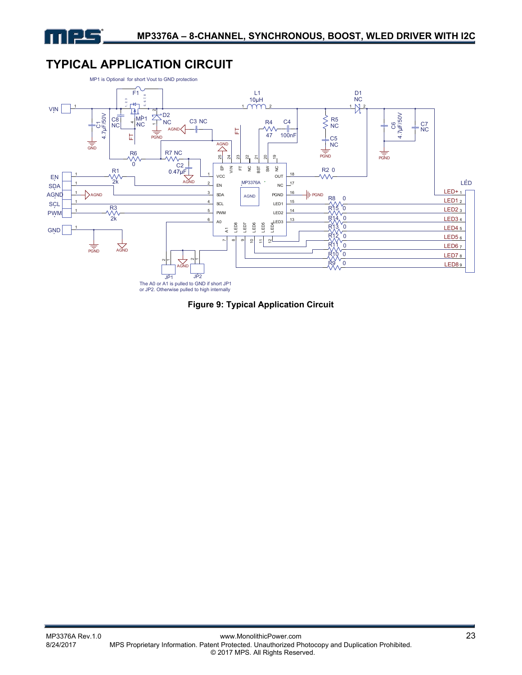

# **TYPICAL APPLICATION CIRCUIT**



**Figure 9: Typical Application Circuit**